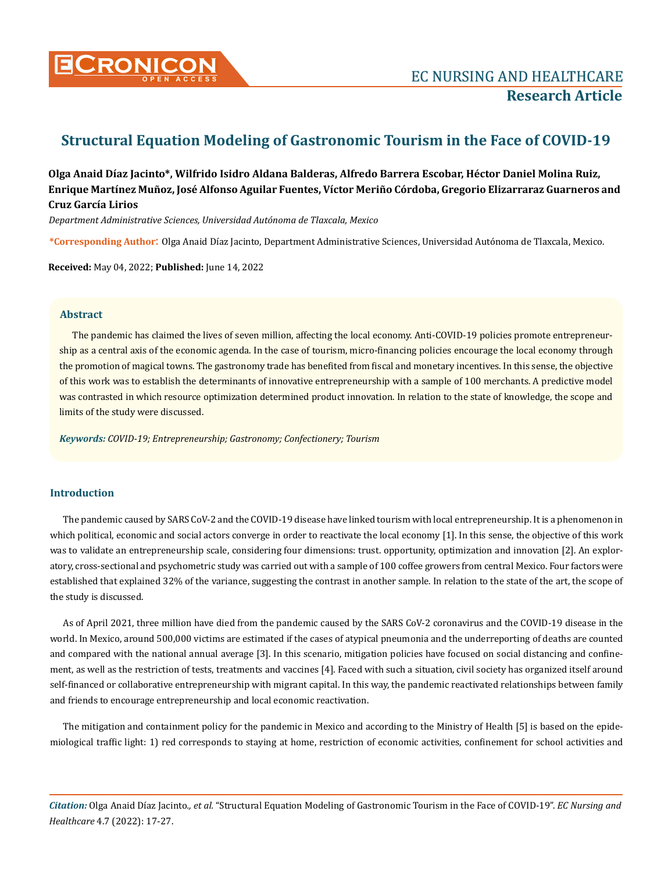

# **Structural Equation Modeling of Gastronomic Tourism in the Face of COVID-19**

**Olga Anaid Díaz Jacinto\*, Wilfrido Isidro Aldana Balderas, Alfredo Barrera Escobar, Héctor Daniel Molina Ruiz, Enrique Martínez Muñoz, José Alfonso Aguilar Fuentes, Víctor Meriño Córdoba, Gregorio Elizarraraz Guarneros and Cruz García Lirios** 

*Department Administrative Sciences, Universidad Autónoma de Tlaxcala, Mexico*

**\*Corresponding Author**: Olga Anaid Díaz Jacinto, Department Administrative Sciences, Universidad Autónoma de Tlaxcala, Mexico.

**Received:** May 04, 2022; **Published:** June 14, 2022

# **Abstract**

The pandemic has claimed the lives of seven million, affecting the local economy. Anti-COVID-19 policies promote entrepreneurship as a central axis of the economic agenda. In the case of tourism, micro-financing policies encourage the local economy through the promotion of magical towns. The gastronomy trade has benefited from fiscal and monetary incentives. In this sense, the objective of this work was to establish the determinants of innovative entrepreneurship with a sample of 100 merchants. A predictive model was contrasted in which resource optimization determined product innovation. In relation to the state of knowledge, the scope and limits of the study were discussed.

*Keywords: COVID-19; Entrepreneurship; Gastronomy; Confectionery; Tourism*

# **Introduction**

The pandemic caused by SARS CoV-2 and the COVID-19 disease have linked tourism with local entrepreneurship. It is a phenomenon in which political, economic and social actors converge in order to reactivate the local economy [1]. In this sense, the objective of this work was to validate an entrepreneurship scale, considering four dimensions: trust. opportunity, optimization and innovation [2]. An exploratory, cross-sectional and psychometric study was carried out with a sample of 100 coffee growers from central Mexico. Four factors were established that explained 32% of the variance, suggesting the contrast in another sample. In relation to the state of the art, the scope of the study is discussed.

As of April 2021, three million have died from the pandemic caused by the SARS CoV-2 coronavirus and the COVID-19 disease in the world. In Mexico, around 500,000 victims are estimated if the cases of atypical pneumonia and the underreporting of deaths are counted and compared with the national annual average [3]. In this scenario, mitigation policies have focused on social distancing and confinement, as well as the restriction of tests, treatments and vaccines [4]. Faced with such a situation, civil society has organized itself around self-financed or collaborative entrepreneurship with migrant capital. In this way, the pandemic reactivated relationships between family and friends to encourage entrepreneurship and local economic reactivation.

The mitigation and containment policy for the pandemic in Mexico and according to the Ministry of Health [5] is based on the epidemiological traffic light: 1) red corresponds to staying at home, restriction of economic activities, confinement for school activities and

*Citation:* Olga Anaid Díaz Jacinto*., et al.* "Structural Equation Modeling of Gastronomic Tourism in the Face of COVID-19". *EC Nursing and Healthcare* 4.7 (2022): 17-27.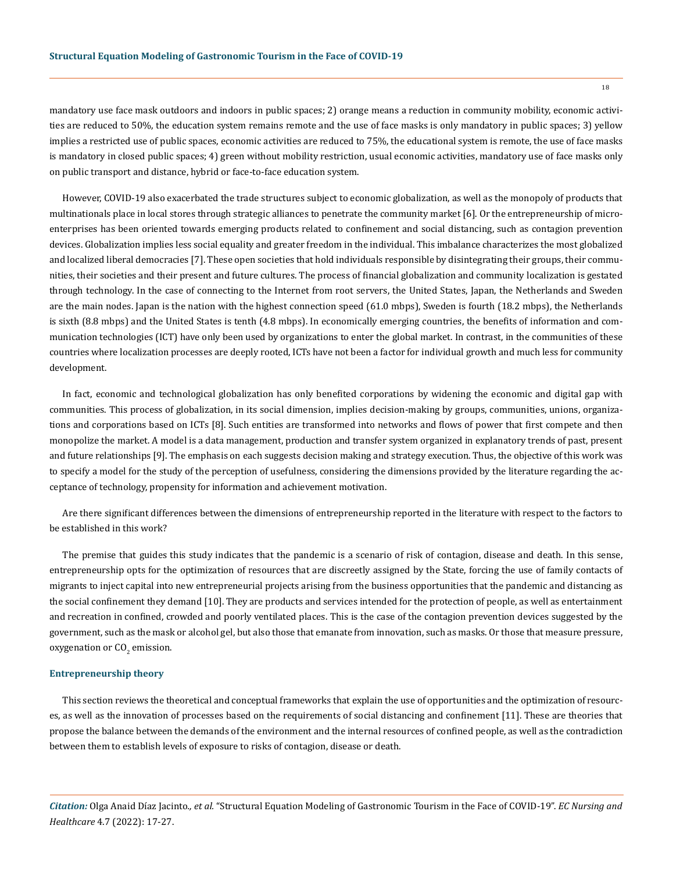mandatory use face mask outdoors and indoors in public spaces; 2) orange means a reduction in community mobility, economic activities are reduced to 50%, the education system remains remote and the use of face masks is only mandatory in public spaces; 3) yellow implies a restricted use of public spaces, economic activities are reduced to 75%, the educational system is remote, the use of face masks is mandatory in closed public spaces; 4) green without mobility restriction, usual economic activities, mandatory use of face masks only on public transport and distance, hybrid or face-to-face education system.

However, COVID-19 also exacerbated the trade structures subject to economic globalization, as well as the monopoly of products that multinationals place in local stores through strategic alliances to penetrate the community market [6]. Or the entrepreneurship of microenterprises has been oriented towards emerging products related to confinement and social distancing, such as contagion prevention devices. Globalization implies less social equality and greater freedom in the individual. This imbalance characterizes the most globalized and localized liberal democracies [7]. These open societies that hold individuals responsible by disintegrating their groups, their communities, their societies and their present and future cultures. The process of financial globalization and community localization is gestated through technology. In the case of connecting to the Internet from root servers, the United States, Japan, the Netherlands and Sweden are the main nodes. Japan is the nation with the highest connection speed (61.0 mbps), Sweden is fourth (18.2 mbps), the Netherlands is sixth (8.8 mbps) and the United States is tenth (4.8 mbps). In economically emerging countries, the benefits of information and communication technologies (ICT) have only been used by organizations to enter the global market. In contrast, in the communities of these countries where localization processes are deeply rooted, ICTs have not been a factor for individual growth and much less for community development.

In fact, economic and technological globalization has only benefited corporations by widening the economic and digital gap with communities. This process of globalization, in its social dimension, implies decision-making by groups, communities, unions, organizations and corporations based on ICTs [8]. Such entities are transformed into networks and flows of power that first compete and then monopolize the market. A model is a data management, production and transfer system organized in explanatory trends of past, present and future relationships [9]. The emphasis on each suggests decision making and strategy execution. Thus, the objective of this work was to specify a model for the study of the perception of usefulness, considering the dimensions provided by the literature regarding the acceptance of technology, propensity for information and achievement motivation.

Are there significant differences between the dimensions of entrepreneurship reported in the literature with respect to the factors to be established in this work?

The premise that guides this study indicates that the pandemic is a scenario of risk of contagion, disease and death. In this sense, entrepreneurship opts for the optimization of resources that are discreetly assigned by the State, forcing the use of family contacts of migrants to inject capital into new entrepreneurial projects arising from the business opportunities that the pandemic and distancing as the social confinement they demand [10]. They are products and services intended for the protection of people, as well as entertainment and recreation in confined, crowded and poorly ventilated places. This is the case of the contagion prevention devices suggested by the government, such as the mask or alcohol gel, but also those that emanate from innovation, such as masks. Or those that measure pressure, oxygenation or CO<sub>2</sub> emission.

#### **Entrepreneurship theory**

This section reviews the theoretical and conceptual frameworks that explain the use of opportunities and the optimization of resources, as well as the innovation of processes based on the requirements of social distancing and confinement [11]. These are theories that propose the balance between the demands of the environment and the internal resources of confined people, as well as the contradiction between them to establish levels of exposure to risks of contagion, disease or death.

*Citation:* Olga Anaid Díaz Jacinto*., et al.* "Structural Equation Modeling of Gastronomic Tourism in the Face of COVID-19". *EC Nursing and Healthcare* 4.7 (2022): 17-27.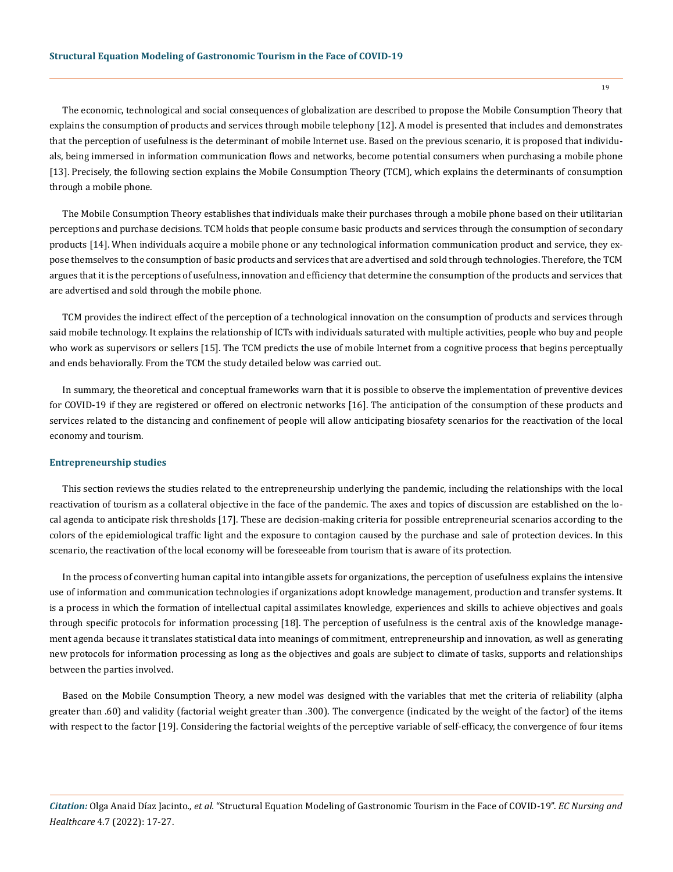The economic, technological and social consequences of globalization are described to propose the Mobile Consumption Theory that explains the consumption of products and services through mobile telephony [12]. A model is presented that includes and demonstrates that the perception of usefulness is the determinant of mobile Internet use. Based on the previous scenario, it is proposed that individuals, being immersed in information communication flows and networks, become potential consumers when purchasing a mobile phone [13]. Precisely, the following section explains the Mobile Consumption Theory (TCM), which explains the determinants of consumption through a mobile phone.

The Mobile Consumption Theory establishes that individuals make their purchases through a mobile phone based on their utilitarian perceptions and purchase decisions. TCM holds that people consume basic products and services through the consumption of secondary products [14]. When individuals acquire a mobile phone or any technological information communication product and service, they expose themselves to the consumption of basic products and services that are advertised and sold through technologies. Therefore, the TCM argues that it is the perceptions of usefulness, innovation and efficiency that determine the consumption of the products and services that are advertised and sold through the mobile phone.

TCM provides the indirect effect of the perception of a technological innovation on the consumption of products and services through said mobile technology. It explains the relationship of ICTs with individuals saturated with multiple activities, people who buy and people who work as supervisors or sellers [15]. The TCM predicts the use of mobile Internet from a cognitive process that begins perceptually and ends behaviorally. From the TCM the study detailed below was carried out.

In summary, the theoretical and conceptual frameworks warn that it is possible to observe the implementation of preventive devices for COVID-19 if they are registered or offered on electronic networks [16]. The anticipation of the consumption of these products and services related to the distancing and confinement of people will allow anticipating biosafety scenarios for the reactivation of the local economy and tourism.

#### **Entrepreneurship studies**

This section reviews the studies related to the entrepreneurship underlying the pandemic, including the relationships with the local reactivation of tourism as a collateral objective in the face of the pandemic. The axes and topics of discussion are established on the local agenda to anticipate risk thresholds [17]. These are decision-making criteria for possible entrepreneurial scenarios according to the colors of the epidemiological traffic light and the exposure to contagion caused by the purchase and sale of protection devices. In this scenario, the reactivation of the local economy will be foreseeable from tourism that is aware of its protection.

In the process of converting human capital into intangible assets for organizations, the perception of usefulness explains the intensive use of information and communication technologies if organizations adopt knowledge management, production and transfer systems. It is a process in which the formation of intellectual capital assimilates knowledge, experiences and skills to achieve objectives and goals through specific protocols for information processing [18]. The perception of usefulness is the central axis of the knowledge management agenda because it translates statistical data into meanings of commitment, entrepreneurship and innovation, as well as generating new protocols for information processing as long as the objectives and goals are subject to climate of tasks, supports and relationships between the parties involved.

Based on the Mobile Consumption Theory, a new model was designed with the variables that met the criteria of reliability (alpha greater than .60) and validity (factorial weight greater than .300). The convergence (indicated by the weight of the factor) of the items with respect to the factor [19]. Considering the factorial weights of the perceptive variable of self-efficacy, the convergence of four items

*Citation:* Olga Anaid Díaz Jacinto*., et al.* "Structural Equation Modeling of Gastronomic Tourism in the Face of COVID-19". *EC Nursing and Healthcare* 4.7 (2022): 17-27.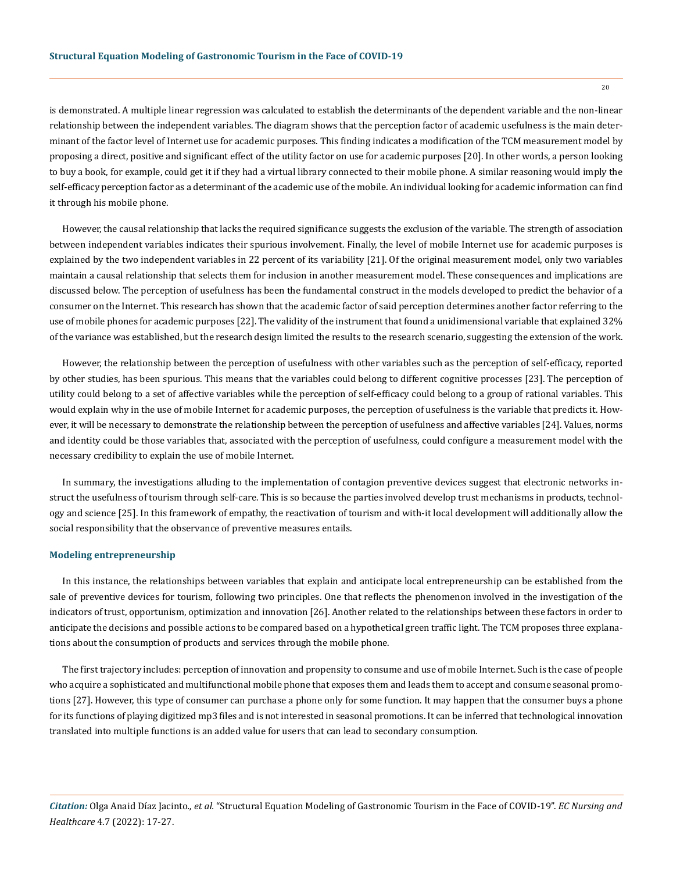is demonstrated. A multiple linear regression was calculated to establish the determinants of the dependent variable and the non-linear relationship between the independent variables. The diagram shows that the perception factor of academic usefulness is the main determinant of the factor level of Internet use for academic purposes. This finding indicates a modification of the TCM measurement model by proposing a direct, positive and significant effect of the utility factor on use for academic purposes [20]. In other words, a person looking to buy a book, for example, could get it if they had a virtual library connected to their mobile phone. A similar reasoning would imply the self-efficacy perception factor as a determinant of the academic use of the mobile. An individual looking for academic information can find it through his mobile phone.

However, the causal relationship that lacks the required significance suggests the exclusion of the variable. The strength of association between independent variables indicates their spurious involvement. Finally, the level of mobile Internet use for academic purposes is explained by the two independent variables in 22 percent of its variability [21]. Of the original measurement model, only two variables maintain a causal relationship that selects them for inclusion in another measurement model. These consequences and implications are discussed below. The perception of usefulness has been the fundamental construct in the models developed to predict the behavior of a consumer on the Internet. This research has shown that the academic factor of said perception determines another factor referring to the use of mobile phones for academic purposes [22]. The validity of the instrument that found a unidimensional variable that explained 32% of the variance was established, but the research design limited the results to the research scenario, suggesting the extension of the work.

However, the relationship between the perception of usefulness with other variables such as the perception of self-efficacy, reported by other studies, has been spurious. This means that the variables could belong to different cognitive processes [23]. The perception of utility could belong to a set of affective variables while the perception of self-efficacy could belong to a group of rational variables. This would explain why in the use of mobile Internet for academic purposes, the perception of usefulness is the variable that predicts it. However, it will be necessary to demonstrate the relationship between the perception of usefulness and affective variables [24]. Values, norms and identity could be those variables that, associated with the perception of usefulness, could configure a measurement model with the necessary credibility to explain the use of mobile Internet.

In summary, the investigations alluding to the implementation of contagion preventive devices suggest that electronic networks instruct the usefulness of tourism through self-care. This is so because the parties involved develop trust mechanisms in products, technology and science [25]. In this framework of empathy, the reactivation of tourism and with-it local development will additionally allow the social responsibility that the observance of preventive measures entails.

#### **Modeling entrepreneurship**

In this instance, the relationships between variables that explain and anticipate local entrepreneurship can be established from the sale of preventive devices for tourism, following two principles. One that reflects the phenomenon involved in the investigation of the indicators of trust, opportunism, optimization and innovation [26]. Another related to the relationships between these factors in order to anticipate the decisions and possible actions to be compared based on a hypothetical green traffic light. The TCM proposes three explanations about the consumption of products and services through the mobile phone.

The first trajectory includes: perception of innovation and propensity to consume and use of mobile Internet. Such is the case of people who acquire a sophisticated and multifunctional mobile phone that exposes them and leads them to accept and consume seasonal promotions [27]. However, this type of consumer can purchase a phone only for some function. It may happen that the consumer buys a phone for its functions of playing digitized mp3 files and is not interested in seasonal promotions. It can be inferred that technological innovation translated into multiple functions is an added value for users that can lead to secondary consumption.

*Citation:* Olga Anaid Díaz Jacinto*., et al.* "Structural Equation Modeling of Gastronomic Tourism in the Face of COVID-19". *EC Nursing and Healthcare* 4.7 (2022): 17-27.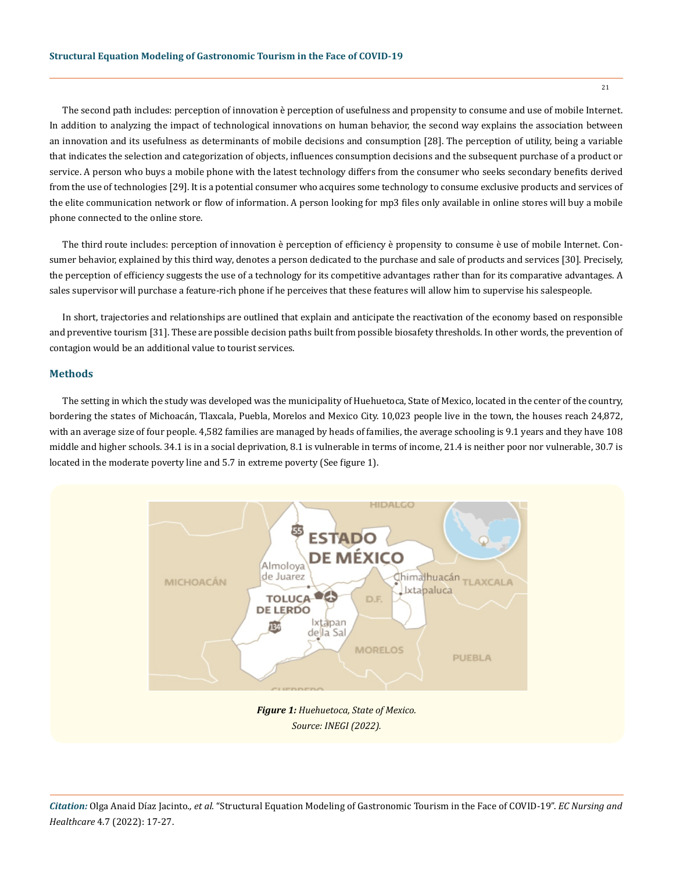The second path includes: perception of innovation è perception of usefulness and propensity to consume and use of mobile Internet. In addition to analyzing the impact of technological innovations on human behavior, the second way explains the association between an innovation and its usefulness as determinants of mobile decisions and consumption [28]. The perception of utility, being a variable that indicates the selection and categorization of objects, influences consumption decisions and the subsequent purchase of a product or service. A person who buys a mobile phone with the latest technology differs from the consumer who seeks secondary benefits derived from the use of technologies [29]. It is a potential consumer who acquires some technology to consume exclusive products and services of the elite communication network or flow of information. A person looking for mp3 files only available in online stores will buy a mobile phone connected to the online store.

The third route includes: perception of innovation è perception of efficiency è propensity to consume è use of mobile Internet. Consumer behavior, explained by this third way, denotes a person dedicated to the purchase and sale of products and services [30]. Precisely, the perception of efficiency suggests the use of a technology for its competitive advantages rather than for its comparative advantages. A sales supervisor will purchase a feature-rich phone if he perceives that these features will allow him to supervise his salespeople.

In short, trajectories and relationships are outlined that explain and anticipate the reactivation of the economy based on responsible and preventive tourism [31]. These are possible decision paths built from possible biosafety thresholds. In other words, the prevention of contagion would be an additional value to tourist services.

### **Methods**

The setting in which the study was developed was the municipality of Huehuetoca, State of Mexico, located in the center of the country, bordering the states of Michoacán, Tlaxcala, Puebla, Morelos and Mexico City. 10,023 people live in the town, the houses reach 24,872, with an average size of four people. 4,582 families are managed by heads of families, the average schooling is 9.1 years and they have 108 middle and higher schools. 34.1 is in a social deprivation, 8.1 is vulnerable in terms of income, 21.4 is neither poor nor vulnerable, 30.7 is located in the moderate poverty line and 5.7 in extreme poverty (See figure 1).

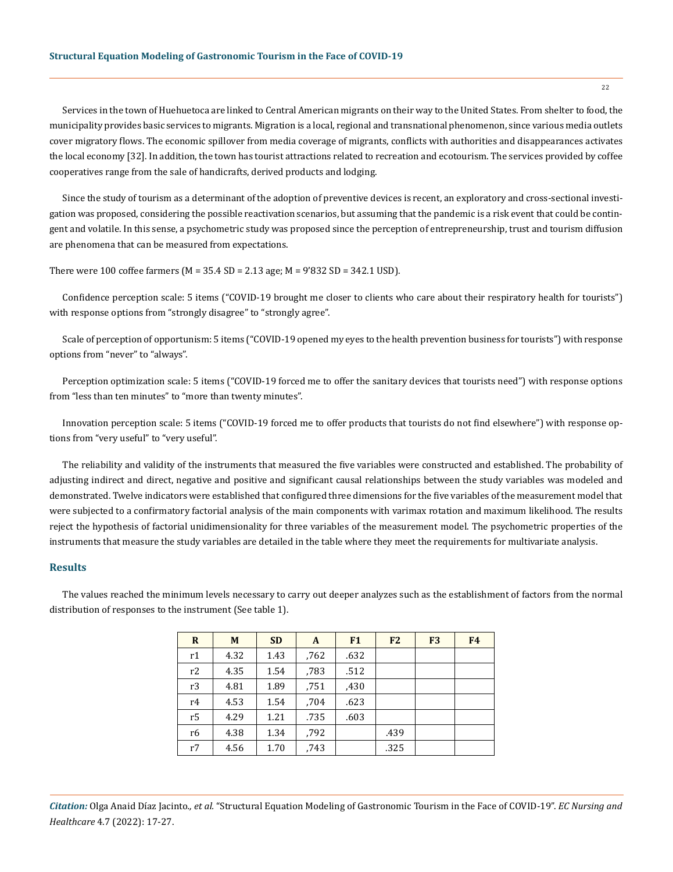Services in the town of Huehuetoca are linked to Central American migrants on their way to the United States. From shelter to food, the municipality provides basic services to migrants. Migration is a local, regional and transnational phenomenon, since various media outlets cover migratory flows. The economic spillover from media coverage of migrants, conflicts with authorities and disappearances activates the local economy [32]. In addition, the town has tourist attractions related to recreation and ecotourism. The services provided by coffee cooperatives range from the sale of handicrafts, derived products and lodging.

Since the study of tourism as a determinant of the adoption of preventive devices is recent, an exploratory and cross-sectional investigation was proposed, considering the possible reactivation scenarios, but assuming that the pandemic is a risk event that could be contingent and volatile. In this sense, a psychometric study was proposed since the perception of entrepreneurship, trust and tourism diffusion are phenomena that can be measured from expectations.

There were 100 coffee farmers (M = 35.4 SD = 2.13 age; M = 9'832 SD = 342.1 USD).

Confidence perception scale: 5 items ("COVID-19 brought me closer to clients who care about their respiratory health for tourists") with response options from "strongly disagree" to "strongly agree".

Scale of perception of opportunism: 5 items ("COVID-19 opened my eyes to the health prevention business for tourists") with response options from "never" to "always".

Perception optimization scale: 5 items ("COVID-19 forced me to offer the sanitary devices that tourists need") with response options from "less than ten minutes" to "more than twenty minutes".

Innovation perception scale: 5 items ("COVID-19 forced me to offer products that tourists do not find elsewhere") with response options from "very useful" to "very useful".

The reliability and validity of the instruments that measured the five variables were constructed and established. The probability of adjusting indirect and direct, negative and positive and significant causal relationships between the study variables was modeled and demonstrated. Twelve indicators were established that configured three dimensions for the five variables of the measurement model that were subjected to a confirmatory factorial analysis of the main components with varimax rotation and maximum likelihood. The results reject the hypothesis of factorial unidimensionality for three variables of the measurement model. The psychometric properties of the instruments that measure the study variables are detailed in the table where they meet the requirements for multivariate analysis.

### **Results**

The values reached the minimum levels necessary to carry out deeper analyzes such as the establishment of factors from the normal distribution of responses to the instrument (See table 1).

| R  | M    | <b>SD</b> | A    | F1   | F <sub>2</sub> | F <sub>3</sub> | F <sub>4</sub> |
|----|------|-----------|------|------|----------------|----------------|----------------|
| r1 | 4.32 | 1.43      | .762 | .632 |                |                |                |
| r2 | 4.35 | 1.54      | ,783 | .512 |                |                |                |
| r3 | 4.81 | 1.89      | .751 | ,430 |                |                |                |
| r4 | 4.53 | 1.54      | ,704 | .623 |                |                |                |
| r5 | 4.29 | 1.21      | .735 | .603 |                |                |                |
| r6 | 4.38 | 1.34      | ,792 |      | .439           |                |                |
| r7 | 4.56 | 1.70      | ,743 |      | .325           |                |                |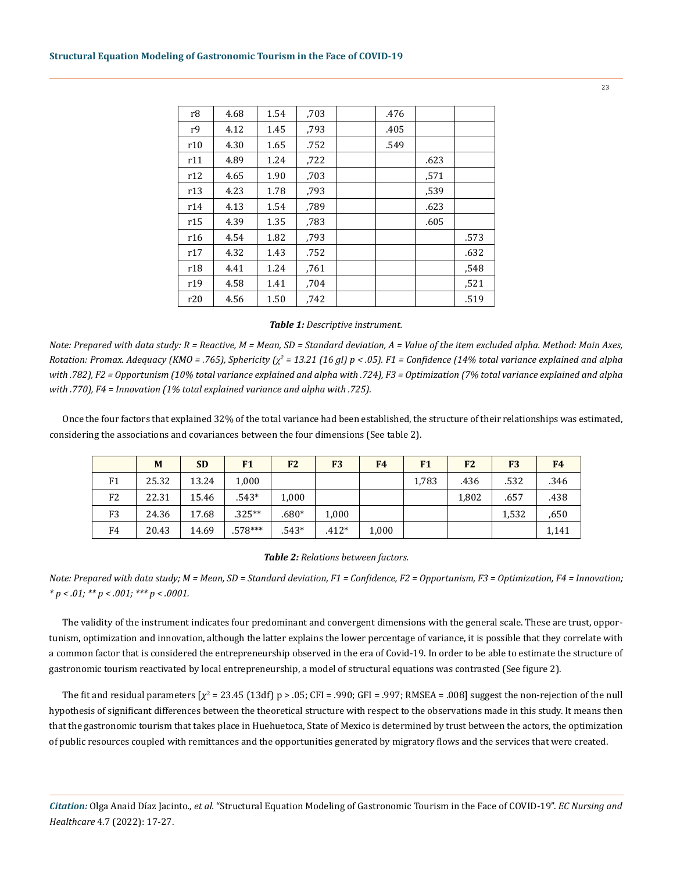| r8             | 4.68 | 1.54 | ,703 | .476 |      |      |
|----------------|------|------|------|------|------|------|
| r <sub>9</sub> | 4.12 | 1.45 | .793 | .405 |      |      |
| r10            | 4.30 | 1.65 | .752 | .549 |      |      |
| r11            | 4.89 | 1.24 | ,722 |      | .623 |      |
| r12            | 4.65 | 1.90 | ,703 |      | .571 |      |
| r13            | 4.23 | 1.78 | .793 |      | .539 |      |
| r14            | 4.13 | 1.54 | ,789 |      | .623 |      |
| r15            | 4.39 | 1.35 | .783 |      | .605 |      |
| r16            | 4.54 | 1.82 | .793 |      |      | .573 |
| r17            | 4.32 | 1.43 | .752 |      |      | .632 |
| r18            | 4.41 | 1.24 | .761 |      |      | .548 |
| r19            | 4.58 | 1.41 | .704 |      |      | .521 |
| r20            | 4.56 | 1.50 | .742 |      |      | .519 |

#### *Table 1: Descriptive instrument.*

*Note: Prepared with data study: R = Reactive, M = Mean, SD = Standard deviation, A = Value of the item excluded alpha. Method: Main Axes, Rotation: Promax. Adequacy (KMO = .765), Sphericity (ꭔ<sup>2</sup> = 13.21 (16 gl) p < .05). F1 = Confidence (14% total variance explained and alpha with .782), F2 = Opportunism (10% total variance explained and alpha with .724), F3 = Optimization (7% total variance explained and alpha with .770), F4 = Innovation (1% total explained variance and alpha with .725).*

Once the four factors that explained 32% of the total variance had been established, the structure of their relationships was estimated, considering the associations and covariances between the four dimensions (See table 2).

|    | M     | <b>SD</b> | F1        | F <sub>2</sub> | F <sub>3</sub> | F <sub>4</sub> | F1    | F <sub>2</sub> | F <sub>3</sub> | F <sub>4</sub> |
|----|-------|-----------|-----------|----------------|----------------|----------------|-------|----------------|----------------|----------------|
| F1 | 25.32 | 13.24     | 1,000     |                |                |                | 1,783 | .436           | .532           | .346           |
| F2 | 22.31 | 15.46     | $.543*$   | 1,000          |                |                |       | 1,802          | .657           | .438           |
| F3 | 24.36 | 17.68     | $.325**$  | $.680*$        | 1,000          |                |       |                | 1,532          | ,650           |
| F4 | 20.43 | 14.69     | $.578***$ | $.543*$        | $.412*$        | 1,000          |       |                |                | 1,141          |

#### *Table 2: Relations between factors.*

*Note: Prepared with data study; M = Mean, SD = Standard deviation, F1 = Confidence, F2 = Opportunism, F3 = Optimization, F4 = Innovation; \* p < .01; \*\* p < .001; \*\*\* p < .0001.*

The validity of the instrument indicates four predominant and convergent dimensions with the general scale. These are trust, opportunism, optimization and innovation, although the latter explains the lower percentage of variance, it is possible that they correlate with a common factor that is considered the entrepreneurship observed in the era of Covid-19. In order to be able to estimate the structure of gastronomic tourism reactivated by local entrepreneurship, a model of structural equations was contrasted (See figure 2).

The fit and residual parameters [ $\chi^2$  = 23.45 (13df) p > .05; CFI = .990; GFI = .997; RMSEA = .008] suggest the non-rejection of the null hypothesis of significant differences between the theoretical structure with respect to the observations made in this study. It means then that the gastronomic tourism that takes place in Huehuetoca, State of Mexico is determined by trust between the actors, the optimization of public resources coupled with remittances and the opportunities generated by migratory flows and the services that were created.

*Citation:* Olga Anaid Díaz Jacinto*., et al.* "Structural Equation Modeling of Gastronomic Tourism in the Face of COVID-19". *EC Nursing and Healthcare* 4.7 (2022): 17-27.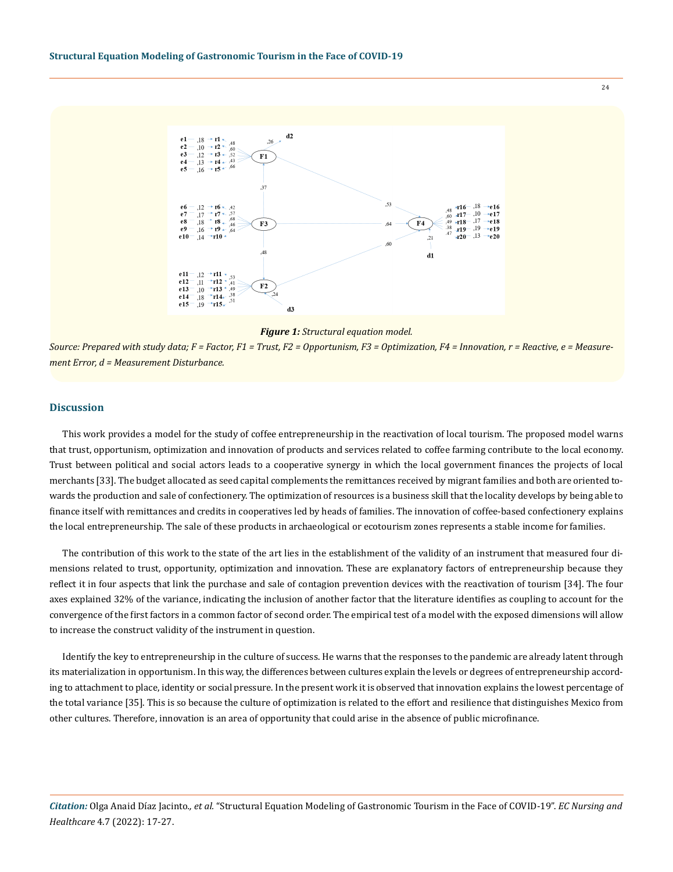



*Source: Prepared with study data; F = Factor, F1 = Trust, F2 = Opportunism, F3 = Optimization, F4 = Innovation, r = Reactive, e = Measurement Error, d = Measurement Disturbance.*

#### **Discussion**

This work provides a model for the study of coffee entrepreneurship in the reactivation of local tourism. The proposed model warns that trust, opportunism, optimization and innovation of products and services related to coffee farming contribute to the local economy. Trust between political and social actors leads to a cooperative synergy in which the local government finances the projects of local merchants [33]. The budget allocated as seed capital complements the remittances received by migrant families and both are oriented towards the production and sale of confectionery. The optimization of resources is a business skill that the locality develops by being able to finance itself with remittances and credits in cooperatives led by heads of families. The innovation of coffee-based confectionery explains the local entrepreneurship. The sale of these products in archaeological or ecotourism zones represents a stable income for families.

The contribution of this work to the state of the art lies in the establishment of the validity of an instrument that measured four dimensions related to trust, opportunity, optimization and innovation. These are explanatory factors of entrepreneurship because they reflect it in four aspects that link the purchase and sale of contagion prevention devices with the reactivation of tourism [34]. The four axes explained 32% of the variance, indicating the inclusion of another factor that the literature identifies as coupling to account for the convergence of the first factors in a common factor of second order. The empirical test of a model with the exposed dimensions will allow to increase the construct validity of the instrument in question.

Identify the key to entrepreneurship in the culture of success. He warns that the responses to the pandemic are already latent through its materialization in opportunism. In this way, the differences between cultures explain the levels or degrees of entrepreneurship according to attachment to place, identity or social pressure. In the present work it is observed that innovation explains the lowest percentage of the total variance [35]. This is so because the culture of optimization is related to the effort and resilience that distinguishes Mexico from other cultures. Therefore, innovation is an area of opportunity that could arise in the absence of public microfinance.

*Citation:* Olga Anaid Díaz Jacinto*., et al.* "Structural Equation Modeling of Gastronomic Tourism in the Face of COVID-19". *EC Nursing and Healthcare* 4.7 (2022): 17-27.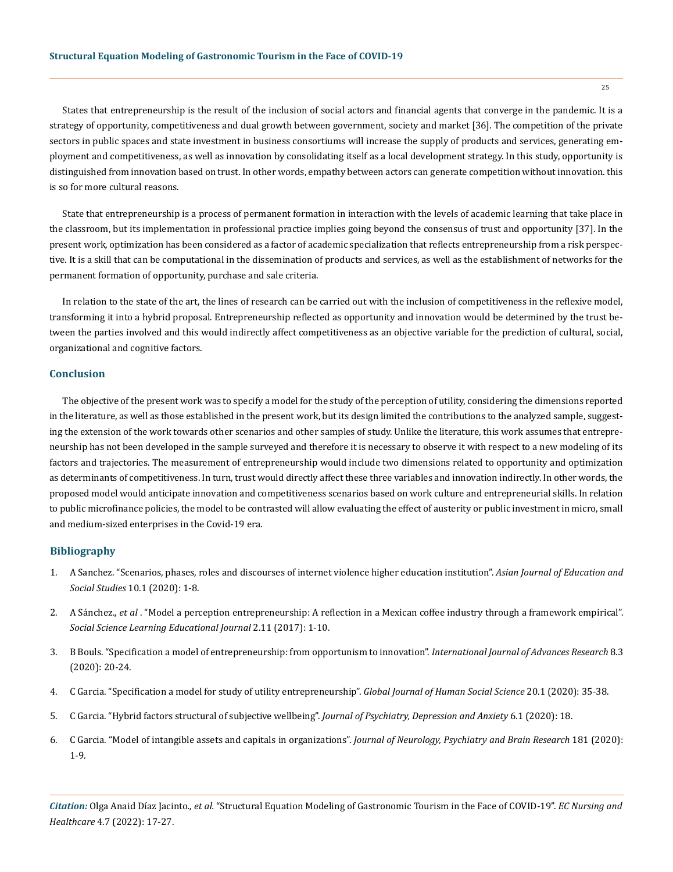States that entrepreneurship is the result of the inclusion of social actors and financial agents that converge in the pandemic. It is a strategy of opportunity, competitiveness and dual growth between government, society and market [36]. The competition of the private sectors in public spaces and state investment in business consortiums will increase the supply of products and services, generating employment and competitiveness, as well as innovation by consolidating itself as a local development strategy. In this study, opportunity is distinguished from innovation based on trust. In other words, empathy between actors can generate competition without innovation. this is so for more cultural reasons.

State that entrepreneurship is a process of permanent formation in interaction with the levels of academic learning that take place in the classroom, but its implementation in professional practice implies going beyond the consensus of trust and opportunity [37]. In the present work, optimization has been considered as a factor of academic specialization that reflects entrepreneurship from a risk perspective. It is a skill that can be computational in the dissemination of products and services, as well as the establishment of networks for the permanent formation of opportunity, purchase and sale criteria.

In relation to the state of the art, the lines of research can be carried out with the inclusion of competitiveness in the reflexive model, transforming it into a hybrid proposal. Entrepreneurship reflected as opportunity and innovation would be determined by the trust between the parties involved and this would indirectly affect competitiveness as an objective variable for the prediction of cultural, social, organizational and cognitive factors.

### **Conclusion**

The objective of the present work was to specify a model for the study of the perception of utility, considering the dimensions reported in the literature, as well as those established in the present work, but its design limited the contributions to the analyzed sample, suggesting the extension of the work towards other scenarios and other samples of study. Unlike the literature, this work assumes that entrepreneurship has not been developed in the sample surveyed and therefore it is necessary to observe it with respect to a new modeling of its factors and trajectories. The measurement of entrepreneurship would include two dimensions related to opportunity and optimization as determinants of competitiveness. In turn, trust would directly affect these three variables and innovation indirectly. In other words, the proposed model would anticipate innovation and competitiveness scenarios based on work culture and entrepreneurial skills. In relation to public microfinance policies, the model to be contrasted will allow evaluating the effect of austerity or public investment in micro, small and medium-sized enterprises in the Covid-19 era.

# **Bibliography**

- 1. [A Sanchez. "Scenarios, phases, roles and discourses of internet violence higher education institution".](https://www.researchgate.net/publication/356788825_Scenarios_phases_roles_and_discourses_of_Internet_violence_in_a_Higher_Education_Institution) *Asian Journal of Education and Social Studies* [10.1 \(2020\): 1-8.](https://www.researchgate.net/publication/356788825_Scenarios_phases_roles_and_discourses_of_Internet_violence_in_a_Higher_Education_Institution)
- 2. A Sánchez., *et al* [. "Model a perception entrepreneurship: A reflection in a Mexican coffee industry through a framework empirical".](https://www.semanticscholar.org/paper/Model-of-Perception-of-Entrepreneurship%3A-A-on-A-A-S%C3%A1nchez-S%C3%A1nchez-Cruz-Garc%C3%ADa/f3943314e43597b2979dc86190619ac9174bb292) *[Social Science Learning Educational Journal](https://www.semanticscholar.org/paper/Model-of-Perception-of-Entrepreneurship%3A-A-on-A-A-S%C3%A1nchez-S%C3%A1nchez-Cruz-Garc%C3%ADa/f3943314e43597b2979dc86190619ac9174bb292)* 2.11 (2017): 1-10.
- 3. B Bouls. "Specification a model of entrepreneurship: from opportunism to innovation". *International Journal of Advances Research* 8.3 (2020): 20-24.
- 4. C Garcia. "Specification a model for study of utility entrepreneurship". *Global Journal of Human Social Science* 20.1 (2020): 35-38.
- 5. [C Garcia. "Hybrid factors structural of subjective wellbeing".](https://www.heraldopenaccess.us/openaccess/hybrid-factors-structural-of-subjective-wellbeing) *Journal of Psychiatry, Depression and Anxiety* 6.1 (2020): 18.
- 6. C Garcia. "Model of intangible assets and capitals in organizations". *Journal of Neurology, Psychiatry and Brain Research* 181 (2020): 1-9.

*Citation:* Olga Anaid Díaz Jacinto*., et al.* "Structural Equation Modeling of Gastronomic Tourism in the Face of COVID-19". *EC Nursing and Healthcare* 4.7 (2022): 17-27.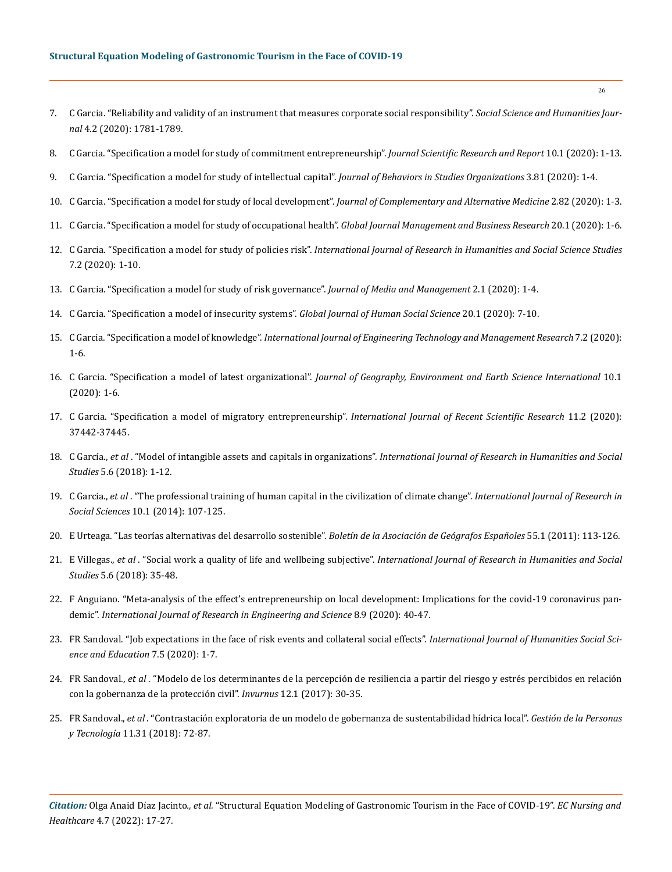# **Structural Equation Modeling of Gastronomic Tourism in the Face of COVID-19**

- 7. [C Garcia. "Reliability and validity of an instrument that measures corporate social responsibility".](https://sshj.in/index.php/sshj/article/view/528) *Social Science and Humanities Journal* [4.2 \(2020\): 1781-1789.](https://sshj.in/index.php/sshj/article/view/528)
- 8. C Garcia. "Specification a model for study of commitment entrepreneurship". *Journal Scientific Research and Report* 10.1 (2020): 1-13.
- 9. [C Garcia. "Specification a model for study of intellectual capital".](https://www.researchgate.net/publication/339579048_Specification_of_a_Model_of_Intellectual_Capital) *Journal of Behaviors in Studies Organizations* 3.81 (2020): 1-4.
- 10. [C Garcia. "Specification a model for study of local development".](https://www.researchgate.net/publication/343462558_Specification_a_Model_for_Study_of_Local_Development) *Journal of Complementary and Alternative Medicine* 2.82 (2020): 1-3.
- 11. [C Garcia. "Specification a model for study of occupational health".](https://journalofbusiness.org/index.php/GJMBR/article/view/3012) *Global Journal Management and Business Research* 20.1 (2020): 1-6.
- 12. C Garcia. "Specification a model for study of policies risk". *[International Journal of Research in Humanities and Social Science Studies](https://www.researchgate.net/publication/351441370_Specification_a_Model_for_Study_of_Policies_Risk)* [7.2 \(2020\): 1-10.](https://www.researchgate.net/publication/351441370_Specification_a_Model_for_Study_of_Policies_Risk)
- 13. C Garcia. "Specification a model for study of risk governance". *Journal of Media and Management* 2.1 (2020): 1-4.
- 14. [C Garcia. "Specification a model of insecurity systems".](https://journalofbusiness.org/index.php/GJMBR/article/view/3013) *Global Journal of Human Social Science* 20.1 (2020): 7-10.
- 15. C Garcia. "Specification a model of knowledge". *International Journal of Engineering Technology and Management Research* 7.2 (2020): 1-6.
- 16. C Garcia. "Specification a model of latest organizational". *Journal of Geography, Environment and Earth Science International* 10.1 (2020): 1-6.
- 17. [C Garcia. "Specification a model of migratory entrepreneurship".](https://recentscientific.com/sites/default/files/15826-A-2020.pdf) *International Journal of Recent Scientific Research* 11.2 (2020): [37442-37445.](https://recentscientific.com/sites/default/files/15826-A-2020.pdf)
- 18. C García., *et al* . "Model of intangible assets and capitals in organizations". *[International Journal of Research in Humanities and Social](https://www.ijrhss.org/papers/v5-i6/1.pdf)  Studies* [5.6 \(2018\): 1-12.](https://www.ijrhss.org/papers/v5-i6/1.pdf)
- 19. C Garcia., *et al* . "The professional training of human capital in the civilization of climate change". *International Journal of Research in Social Sciences* 10.1 (2014): 107-125.
- 20. [E Urteaga. "Las teorías alternativas del desarrollo sostenible".](https://dialnet.unirioja.es/descarga/articulo/3606701/1.pdf) *Boletín de la Asociación de Geógrafos Españoles* 55.1 (2011): 113-126.
- 21. E Villegas., *et al* . "Social work a quality of life and wellbeing subjective". *International Journal of Research in Humanities and Social Studies* 5.6 (2018): 35-48.
- 22. F Anguiano. "Meta-analysis of the effect's entrepreneurship on local development: Implications for the covid-19 coronavirus pandemic". *International Journal of Research in Engineering and Science* 8.9 (2020): 40-47.
- 23. FR Sandoval. "Job expectations in the face of risk events and collateral social effects". *International Journal of Humanities Social Science and Education* 7.5 (2020): 1-7.
- 24. FR Sandoval., *et al* [. "Modelo de los determinantes de la percepción de resiliencia a partir del riesgo y estrés percibidos en relación](https://ri.uaemex.mx/bitstream/handle/20.500.11799/70979/Modelo%20de%20los%20determinantes.pdf;jsessionid=416F9A47B4E88A335741D35459F7B25E?sequence=1)  [con la gobernanza de la protección civil".](https://ri.uaemex.mx/bitstream/handle/20.500.11799/70979/Modelo%20de%20los%20determinantes.pdf;jsessionid=416F9A47B4E88A335741D35459F7B25E?sequence=1) *Invurnus* 12.1 (2017): 30-35.
- 25. FR Sandoval., *et al* [. "Contrastación exploratoria de un modelo de gobernanza de sustentabilidad hídrica local".](https://www.revistas.usach.cl/ojs/index.php/revistagpt/article/view/3229) *Gestión de la Personas y Tecnología* [11.31 \(2018\): 72-87.](https://www.revistas.usach.cl/ojs/index.php/revistagpt/article/view/3229)

*Citation:* Olga Anaid Díaz Jacinto*., et al.* "Structural Equation Modeling of Gastronomic Tourism in the Face of COVID-19". *EC Nursing and Healthcare* 4.7 (2022): 17-27.